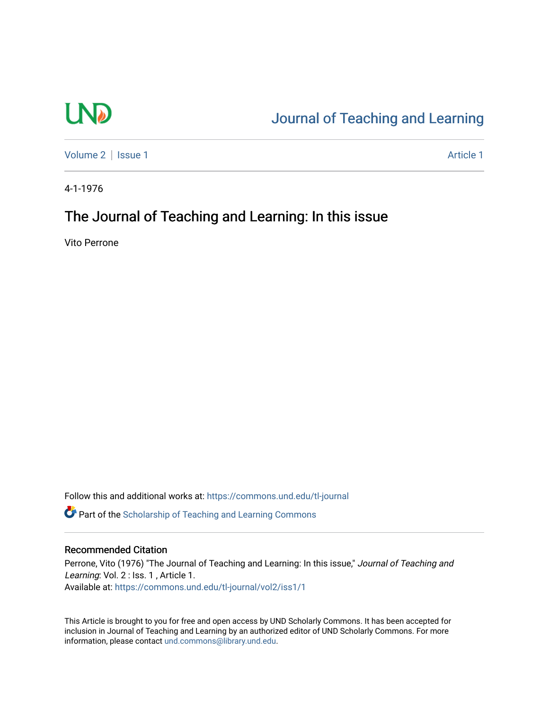## **LND**

## [Journal of Teaching and Learning](https://commons.und.edu/tl-journal)

[Volume 2](https://commons.und.edu/tl-journal/vol2) | [Issue 1](https://commons.und.edu/tl-journal/vol2/iss1) Article 1

4-1-1976

## The Journal of Teaching and Learning: In this issue

Vito Perrone

Follow this and additional works at: [https://commons.und.edu/tl-journal](https://commons.und.edu/tl-journal?utm_source=commons.und.edu%2Ftl-journal%2Fvol2%2Fiss1%2F1&utm_medium=PDF&utm_campaign=PDFCoverPages)

**C** Part of the Scholarship of Teaching and Learning Commons

## Recommended Citation

Perrone, Vito (1976) "The Journal of Teaching and Learning: In this issue," Journal of Teaching and Learning: Vol. 2 : Iss. 1, Article 1. Available at: [https://commons.und.edu/tl-journal/vol2/iss1/1](https://commons.und.edu/tl-journal/vol2/iss1/1?utm_source=commons.und.edu%2Ftl-journal%2Fvol2%2Fiss1%2F1&utm_medium=PDF&utm_campaign=PDFCoverPages) 

This Article is brought to you for free and open access by UND Scholarly Commons. It has been accepted for inclusion in Journal of Teaching and Learning by an authorized editor of UND Scholarly Commons. For more information, please contact [und.commons@library.und.edu.](mailto:und.commons@library.und.edu)